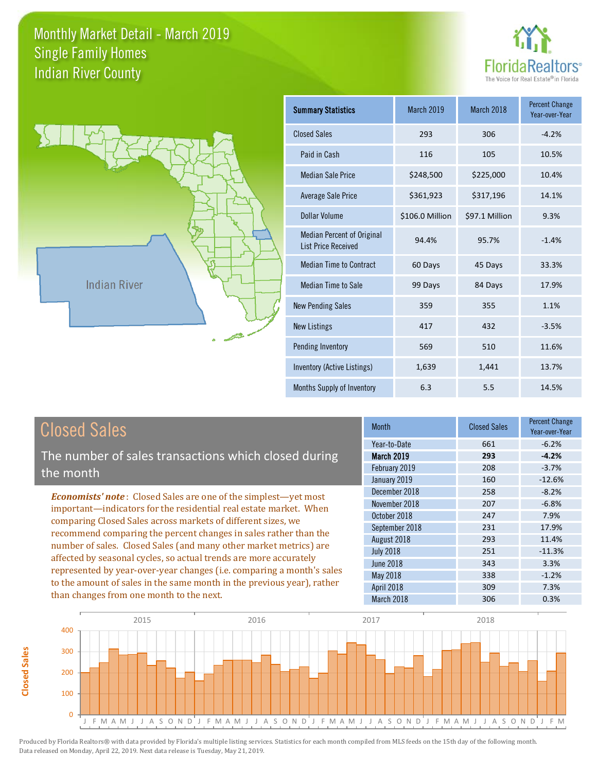



**Closed Sales**

**Closed Sales** 

| <b>Summary Statistics</b>                                       | March 2019      | March 2018     | <b>Percent Change</b><br>Year-over-Year |
|-----------------------------------------------------------------|-----------------|----------------|-----------------------------------------|
| <b>Closed Sales</b>                                             | 293             | 306            | $-4.2%$                                 |
| Paid in Cash                                                    | 116             | 105            | 10.5%                                   |
| <b>Median Sale Price</b>                                        | \$248,500       | \$225,000      | 10.4%                                   |
| <b>Average Sale Price</b>                                       | \$361,923       | \$317,196      | 14.1%                                   |
| Dollar Volume                                                   | \$106.0 Million | \$97.1 Million | 9.3%                                    |
| <b>Median Percent of Original</b><br><b>List Price Received</b> | 94.4%           | 95.7%          | $-1.4%$                                 |
| <b>Median Time to Contract</b>                                  | 60 Days         | 45 Days        | 33.3%                                   |
| <b>Median Time to Sale</b>                                      | 99 Days         | 84 Days        | 17.9%                                   |
| <b>New Pending Sales</b>                                        | 359             | 355            | 1.1%                                    |
| <b>New Listings</b>                                             | 417             | 432            | $-3.5%$                                 |
| Pending Inventory                                               | 569             | 510            | 11.6%                                   |
| Inventory (Active Listings)                                     | 1,639           | 1,441          | 13.7%                                   |
| Months Supply of Inventory                                      | 6.3             | 5.5            | 14.5%                                   |

| <b>Closed Sales</b>                                                                                                                                                                                                                                                                                                                                                                                                                                                                                                                                                                                                      | <b>Month</b>                                  | <b>Closed Sales</b> | <b>Percent Change</b><br>Year-over-Year |
|--------------------------------------------------------------------------------------------------------------------------------------------------------------------------------------------------------------------------------------------------------------------------------------------------------------------------------------------------------------------------------------------------------------------------------------------------------------------------------------------------------------------------------------------------------------------------------------------------------------------------|-----------------------------------------------|---------------------|-----------------------------------------|
| The number of sales transactions which closed during                                                                                                                                                                                                                                                                                                                                                                                                                                                                                                                                                                     | Year-to-Date<br><b>March 2019</b>             | 661<br>293          | $-6.2%$<br>$-4.2%$                      |
| the month                                                                                                                                                                                                                                                                                                                                                                                                                                                                                                                                                                                                                | February 2019<br>January 2019                 | 208<br>160          | $-3.7%$<br>$-12.6%$                     |
| <b>Economists' note:</b> Closed Sales are one of the simplest—yet most<br>important—indicators for the residential real estate market. When<br>comparing Closed Sales across markets of different sizes, we<br>recommend comparing the percent changes in sales rather than the<br>number of sales. Closed Sales (and many other market metrics) are<br>affected by seasonal cycles, so actual trends are more accurately<br>represented by year-over-year changes (i.e. comparing a month's sales<br>to the amount of sales in the same month in the previous year), rather<br>than changes from one month to the next. | December 2018<br>November 2018                | 258<br>207          | $-8.2%$<br>$-6.8%$                      |
|                                                                                                                                                                                                                                                                                                                                                                                                                                                                                                                                                                                                                          | October 2018<br>September 2018<br>August 2018 | 247<br>231<br>293   | 7.9%<br>17.9%<br>11.4%                  |
|                                                                                                                                                                                                                                                                                                                                                                                                                                                                                                                                                                                                                          | <b>July 2018</b><br><b>June 2018</b>          | 251<br>343          | $-11.3%$<br>3.3%                        |
|                                                                                                                                                                                                                                                                                                                                                                                                                                                                                                                                                                                                                          | May 2018<br>April 2018<br>March 2018          | 338<br>309<br>306   | $-1.2%$<br>7.3%<br>0.3%                 |

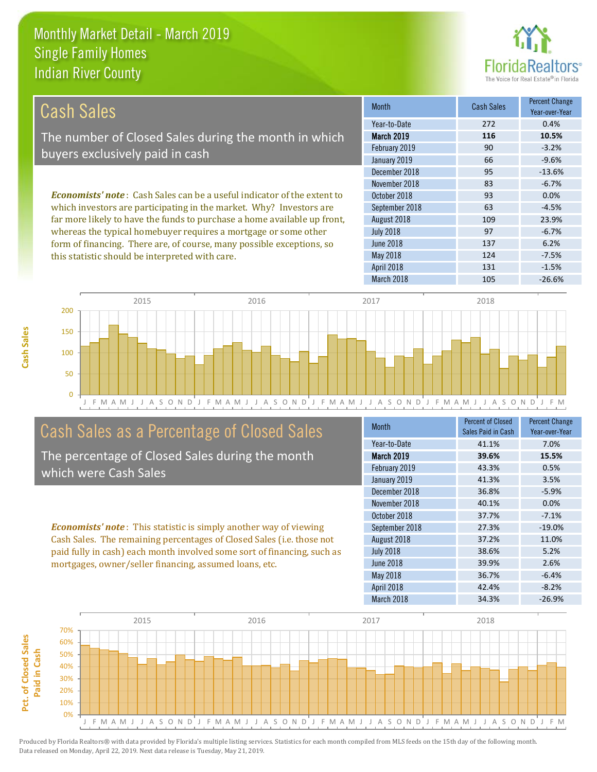this statistic should be interpreted with care.



124 -7.5%

| Cash Sales                                                                     | <b>Month</b>      | Cash Sales | <b>Percent Change</b><br>Year-over-Year |
|--------------------------------------------------------------------------------|-------------------|------------|-----------------------------------------|
|                                                                                | Year-to-Date      | 272        | 0.4%                                    |
| The number of Closed Sales during the month in which                           | <b>March 2019</b> | 116        | 10.5%                                   |
| buyers exclusively paid in cash                                                | February 2019     | 90         | $-3.2%$                                 |
|                                                                                | January 2019      | 66         | $-9.6%$                                 |
|                                                                                | December 2018     | 95         | $-13.6%$                                |
|                                                                                | November 2018     | 83         | $-6.7%$                                 |
| <b>Economists' note:</b> Cash Sales can be a useful indicator of the extent to | October 2018      | 93         | 0.0%                                    |
| which investors are participating in the market. Why? Investors are            | September 2018    | 63         | $-4.5%$                                 |
| far more likely to have the funds to purchase a home available up front,       | August 2018       | 109        | 23.9%                                   |
| whereas the typical homebuyer requires a mortgage or some other                | <b>July 2018</b>  | 97         | $-6.7%$                                 |
| form of financing. There are, of course, many possible exceptions, so          | June 2018         | 137        | 6.2%                                    |



## Cash Sales as a Percentage of Closed Sales

The percentage of Closed Sales during the month which were Cash Sales

*Economists' note* : This statistic is simply another way of viewing Cash Sales. The remaining percentages of Closed Sales (i.e. those not paid fully in cash) each month involved some sort of financing, such as mortgages, owner/seller financing, assumed loans, etc.

| <b>Month</b>      | <b>Percent of Closed</b><br>Sales Paid in Cash | <b>Percent Change</b><br>Year-over-Year |
|-------------------|------------------------------------------------|-----------------------------------------|
| Year-to-Date      | 41.1%                                          | 7.0%                                    |
| <b>March 2019</b> | 39.6%                                          | 15.5%                                   |
| February 2019     | 43.3%                                          | 0.5%                                    |
| January 2019      | 41.3%                                          | 3.5%                                    |
| December 2018     | 36.8%                                          | $-5.9%$                                 |
| November 2018     | 40.1%                                          | 0.0%                                    |
| October 2018      | 37.7%                                          | $-7.1%$                                 |
| September 2018    | 27.3%                                          | $-19.0%$                                |
| August 2018       | 37.2%                                          | 11.0%                                   |
| <b>July 2018</b>  | 38.6%                                          | 5.2%                                    |
| June 2018         | 39.9%                                          | 2.6%                                    |
| May 2018          | 36.7%                                          | $-6.4%$                                 |
| April 2018        | 42.4%                                          | $-8.2%$                                 |
| March 2018        | 34.3%                                          | $-26.9%$                                |

April 2018 131 131 -1.5%

May 2018

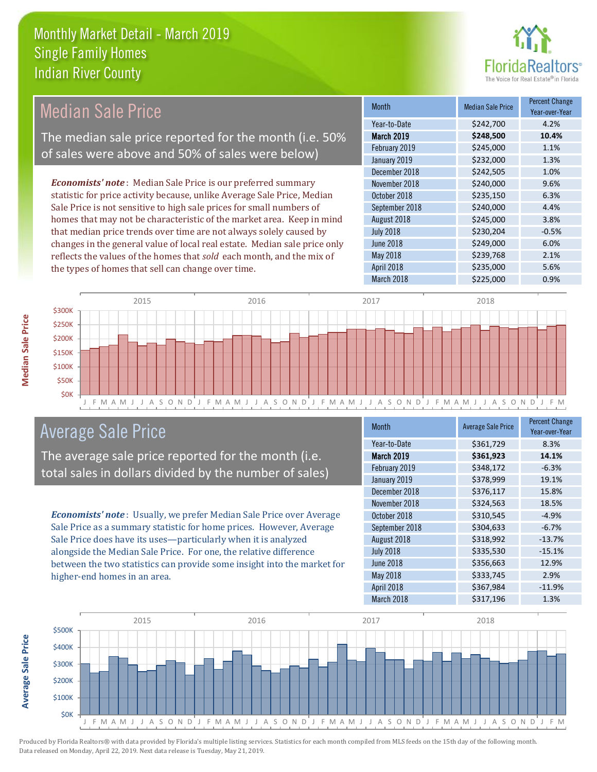

#### *Economists' note* : Median Sale Price is our preferred summary statistic for price activity because, unlike Average Sale Price, Median Sale Price is not sensitive to high sale prices for small numbers of homes that may not be characteristic of the market area. Keep in mind that median price trends over time are not always solely caused by changes in the general value of local real estate. Median sale price only reflects the values of the homes that *sold* each month, and the mix of the types of homes that sell can change over time. March 2018 \$225,000 0.9% May 2018 **3239,768** 2.1% April 2018 **\$235,000** 5.6% July 2018 **\$230,204** -0.5% June 2018 **\$249,000** 6.0% \$242,505 1.0% November 2018 **\$240,000** 9.6% August 2018 **\$245,000** \$245,000 February 2019 \$245,000 1.1% January 2019 **\$232,000** \$234,000 October 2018 **\$235,150** 6.3% September 2018 \$240,000 4.4% December 2018 Month Median Sale Price Percent Change Year-over-Year March 2019 **\$248,500 10.4%** Year-to-Date \$242,700 4.2% 2015 2016 2017 2018 Median Sale Price The median sale price reported for the month (i.e. 50% of sales were above and 50% of sales were below)



### Average Sale Price

The average sale price reported for the month (i.e. total sales in dollars divided by the number of sales)

*Economists' note* : Usually, we prefer Median Sale Price over Average Sale Price as a summary statistic for home prices. However, Average Sale Price does have its uses—particularly when it is analyzed alongside the Median Sale Price. For one, the relative difference between the two statistics can provide some insight into the market for higher-end homes in an area.

| <b>Month</b>      | <b>Average Sale Price</b> | <b>Percent Change</b><br>Year-over-Year |
|-------------------|---------------------------|-----------------------------------------|
| Year-to-Date      | \$361,729                 | 8.3%                                    |
| <b>March 2019</b> | \$361,923                 | 14.1%                                   |
| February 2019     | \$348,172                 | $-6.3%$                                 |
| January 2019      | \$378,999                 | 19.1%                                   |
| December 2018     | \$376,117                 | 15.8%                                   |
| November 2018     | \$324,563                 | 18.5%                                   |
| October 2018      | \$310,545                 | $-4.9%$                                 |
| September 2018    | \$304,633                 | $-6.7%$                                 |
| August 2018       | \$318,992                 | $-13.7%$                                |
| <b>July 2018</b>  | \$335,530                 | $-15.1%$                                |
| June 2018         | \$356,663                 | 12.9%                                   |
| May 2018          | \$333,745                 | 2.9%                                    |
| April 2018        | \$367,984                 | $-11.9%$                                |
| March 2018        | \$317,196                 | 1.3%                                    |



**Median Sale Price** 

**Average Sale Price**

**Average Sale Price**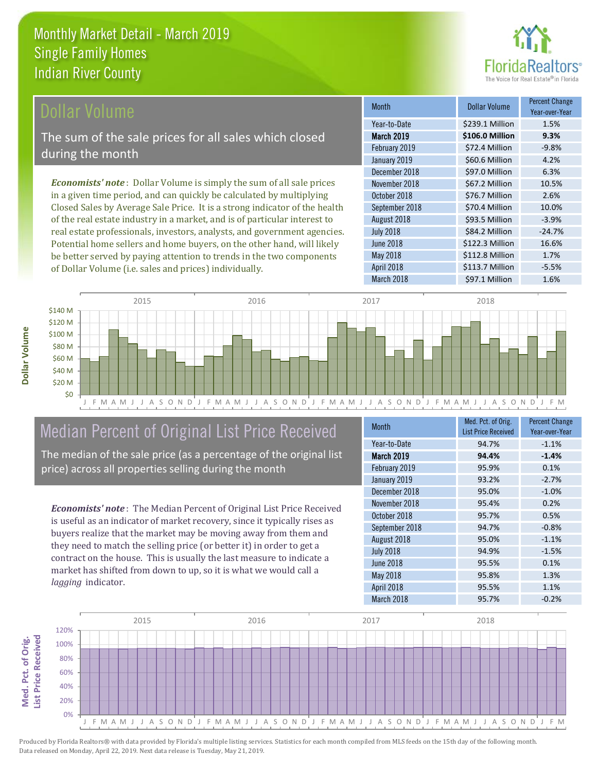

#### Dollar Volume

The sum of the sale prices for all sales which closed during the month

*Economists' note* : Dollar Volume is simply the sum of all sale prices in a given time period, and can quickly be calculated by multiplying Closed Sales by Average Sale Price. It is a strong indicator of the health of the real estate industry in a market, and is of particular interest to real estate professionals, investors, analysts, and government agencies. Potential home sellers and home buyers, on the other hand, will likely be better served by paying attention to trends in the two components of Dollar Volume (i.e. sales and prices) individually.

| <b>Month</b>      | <b>Dollar Volume</b> | <b>Percent Change</b><br>Year-over-Year |
|-------------------|----------------------|-----------------------------------------|
| Year-to-Date      | \$239.1 Million      | 1.5%                                    |
| <b>March 2019</b> | \$106.0 Million      | 9.3%                                    |
| February 2019     | \$72.4 Million       | $-9.8%$                                 |
| January 2019      | \$60.6 Million       | 4.2%                                    |
| December 2018     | \$97.0 Million       | 6.3%                                    |
| November 2018     | \$67.2 Million       | 10.5%                                   |
| October 2018      | \$76.7 Million       | 2.6%                                    |
| September 2018    | \$70.4 Million       | 10.0%                                   |
| August 2018       | \$93.5 Million       | $-3.9%$                                 |
| <b>July 2018</b>  | \$84.2 Million       | $-24.7%$                                |
| <b>June 2018</b>  | \$122.3 Million      | 16.6%                                   |
| May 2018          | \$112.8 Million      | 1.7%                                    |
| April 2018        | \$113.7 Million      | $-5.5%$                                 |
| March 2018        | \$97.1 Million       | 1.6%                                    |





# Median Percent of Original List Price Received

The median of the sale price (as a percentage of the original list price) across all properties selling during the month

*Economists' note* : The Median Percent of Original List Price Received is useful as an indicator of market recovery, since it typically rises as buyers realize that the market may be moving away from them and they need to match the selling price (or better it) in order to get a contract on the house. This is usually the last measure to indicate a market has shifted from down to up, so it is what we would call a *lagging* indicator.

| <b>Month</b>      | Med. Pct. of Orig.<br><b>List Price Received</b> | <b>Percent Change</b><br>Year-over-Year |
|-------------------|--------------------------------------------------|-----------------------------------------|
| Year-to-Date      | 94.7%                                            | $-1.1%$                                 |
| <b>March 2019</b> | 94.4%                                            | $-1.4%$                                 |
| February 2019     | 95.9%                                            | 0.1%                                    |
| January 2019      | 93.2%                                            | $-2.7%$                                 |
| December 2018     | 95.0%                                            | $-1.0%$                                 |
| November 2018     | 95.4%                                            | 0.2%                                    |
| October 2018      | 95.7%                                            | 0.5%                                    |
| September 2018    | 94.7%                                            | $-0.8%$                                 |
| August 2018       | 95.0%                                            | $-1.1%$                                 |
| <b>July 2018</b>  | 94.9%                                            | $-1.5%$                                 |
| <b>June 2018</b>  | 95.5%                                            | 0.1%                                    |
| May 2018          | 95.8%                                            | 1.3%                                    |
| April 2018        | 95.5%                                            | 1.1%                                    |
| March 2018        | 95.7%                                            | $-0.2%$                                 |

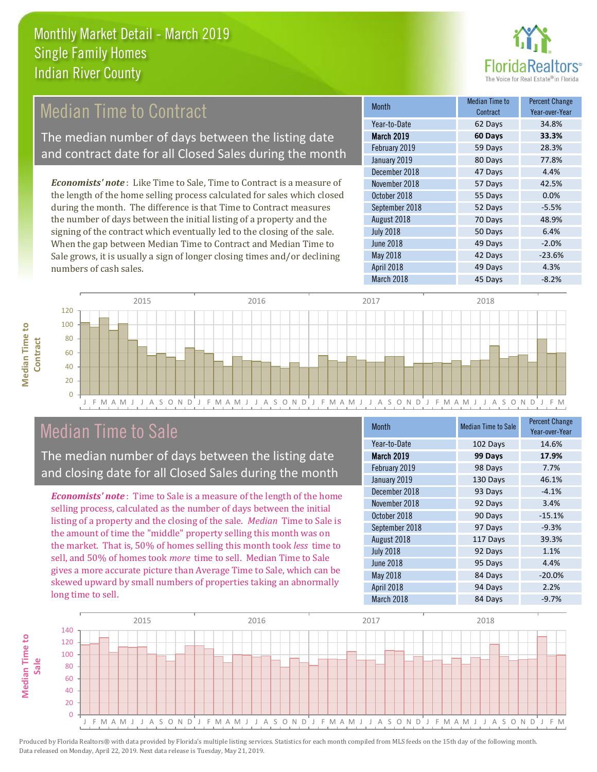

# **Median Time to Contract**

The median number of days between the listing date and contract date for all Closed Sales during the month

*Economists' note* : Like Time to Sale, Time to Contract is a measure of the length of the home selling process calculated for sales which closed during the month. The difference is that Time to Contract measures the number of days between the initial listing of a property and the signing of the contract which eventually led to the closing of the sale. When the gap between Median Time to Contract and Median Time to Sale grows, it is usually a sign of longer closing times and/or declining numbers of cash sales.

| Month             | Median Time to<br>Contract | <b>Percent Change</b><br>Year-over-Year |
|-------------------|----------------------------|-----------------------------------------|
| Year-to-Date      | 62 Days                    | 34.8%                                   |
| <b>March 2019</b> | 60 Days                    | 33.3%                                   |
| February 2019     | 59 Days                    | 28.3%                                   |
| January 2019      | 80 Days                    | 77.8%                                   |
| December 2018     | 47 Days                    | 4.4%                                    |
| November 2018     | 57 Days                    | 42.5%                                   |
| October 2018      | 55 Days                    | 0.0%                                    |
| September 2018    | 52 Days                    | $-5.5%$                                 |
| August 2018       | 70 Days                    | 48.9%                                   |
| <b>July 2018</b>  | 50 Days                    | 6.4%                                    |
| <b>June 2018</b>  | 49 Days                    | $-2.0%$                                 |
| May 2018          | 42 Days                    | $-23.6%$                                |
| April 2018        | 49 Days                    | 4.3%                                    |
| March 2018        | 45 Days                    | $-8.2%$                                 |



### Median Time to Sale

**Median Time to** 

**Median Time to** 

The median number of days between the listing date and closing date for all Closed Sales during the month

*Economists' note* : Time to Sale is a measure of the length of the home selling process, calculated as the number of days between the initial listing of a property and the closing of the sale. *Median* Time to Sale is the amount of time the "middle" property selling this month was on the market. That is, 50% of homes selling this month took *less* time to sell, and 50% of homes took *more* time to sell. Median Time to Sale gives a more accurate picture than Average Time to Sale, which can be skewed upward by small numbers of properties taking an abnormally long time to sell.

| <b>Month</b>      | <b>Median Time to Sale</b> | <b>Percent Change</b><br>Year-over-Year |
|-------------------|----------------------------|-----------------------------------------|
| Year-to-Date      | 102 Days                   | 14.6%                                   |
| <b>March 2019</b> | 99 Days                    | 17.9%                                   |
| February 2019     | 98 Days                    | 7.7%                                    |
| January 2019      | 130 Days                   | 46.1%                                   |
| December 2018     | 93 Days                    | $-4.1%$                                 |
| November 2018     | 92 Days                    | 3.4%                                    |
| October 2018      | 90 Days                    | $-15.1%$                                |
| September 2018    | 97 Days                    | $-9.3%$                                 |
| August 2018       | 117 Days                   | 39.3%                                   |
| <b>July 2018</b>  | 92 Days                    | 1.1%                                    |
| <b>June 2018</b>  | 95 Days                    | 4.4%                                    |
| May 2018          | 84 Days                    | $-20.0%$                                |
| April 2018        | 94 Days                    | 2.2%                                    |
| March 2018        | 84 Days                    | $-9.7%$                                 |

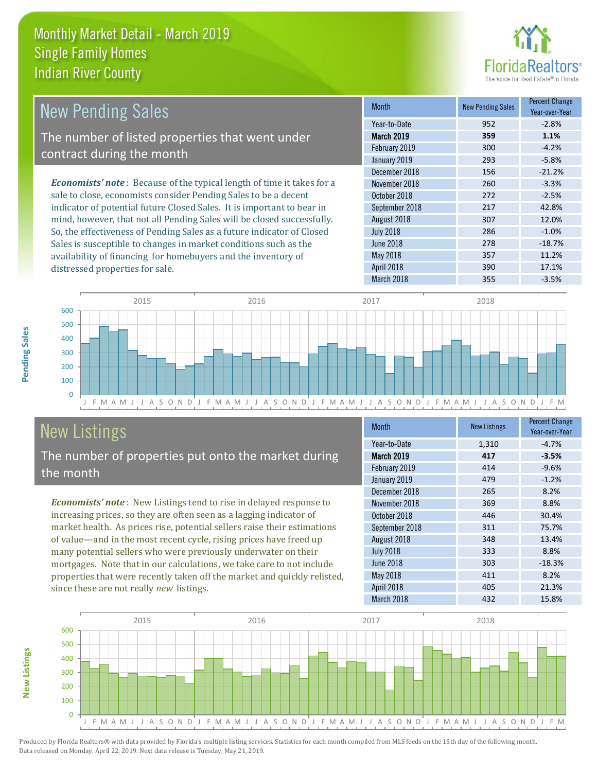

| <b>New Pending Sales</b>                                                      | <b>Month</b>      | <b>New Pending Sales</b> | <b>Percent Change</b><br>Year-over-Year |
|-------------------------------------------------------------------------------|-------------------|--------------------------|-----------------------------------------|
|                                                                               | Year-to-Date      | 952                      | $-2.8%$                                 |
| The number of listed properties that went under                               | <b>March 2019</b> | 359                      | 1.1%                                    |
| contract during the month                                                     | February 2019     | 300                      | $-4.2%$                                 |
|                                                                               | January 2019      | 293                      | $-5.8%$                                 |
|                                                                               | December 2018     | 156                      | $-21.2%$                                |
| <b>Economists' note:</b> Because of the typical length of time it takes for a | November 2018     | 260                      | $-3.3%$                                 |
| sale to close, economists consider Pending Sales to be a decent               | October 2018      | 272                      | $-2.5%$                                 |
| indicator of potential future Closed Sales. It is important to bear in        | September 2018    | 217                      | 42.8%                                   |
| mind, however, that not all Pending Sales will be closed successfully.        | August 2018       | 307                      | 12.0%                                   |
| So, the effectiveness of Pending Sales as a future indicator of Closed        | <b>July 2018</b>  | 286                      | $-1.0%$                                 |
| Sales is susceptible to changes in market conditions such as the              | June 2018         | 278                      | $-18.7%$                                |



# New Listings

distressed properties for sale.

The number of properties put onto the market during the month

availability of financing for homebuyers and the inventory of

*Economists' note* : New Listings tend to rise in delayed response to increasing prices, so they are often seen as a lagging indicator of market health. As prices rise, potential sellers raise their estimations of value—and in the most recent cycle, rising prices have freed up many potential sellers who were previously underwater on their mortgages. Note that in our calculations, we take care to not include properties that were recently taken off the market and quickly relisted, since these are not really *new* listings.

| <b>Month</b>      | <b>New Listings</b> | <b>Percent Change</b><br>Year-over-Year |
|-------------------|---------------------|-----------------------------------------|
| Year-to-Date      | 1,310               | $-4.7%$                                 |
| <b>March 2019</b> | 417                 | $-3.5%$                                 |
| February 2019     | 414                 | $-9.6%$                                 |
| January 2019      | 479                 | $-1.2%$                                 |
| December 2018     | 265                 | 8.2%                                    |
| November 2018     | 369                 | 8.8%                                    |
| October 2018      | 446                 | 30.4%                                   |
| September 2018    | 311                 | 75.7%                                   |
| August 2018       | 348                 | 13.4%                                   |
| <b>July 2018</b>  | 333                 | 8.8%                                    |
| <b>June 2018</b>  | 303                 | $-18.3%$                                |
| May 2018          | 411                 | 8.2%                                    |
| April 2018        | 405                 | 21.3%                                   |
| March 2018        | 432                 | 15.8%                                   |

March 2018 **355** -3.5%

May 2018 **11.2%** 357 11.2% April 2018 **390** 17.1%



**New Listings**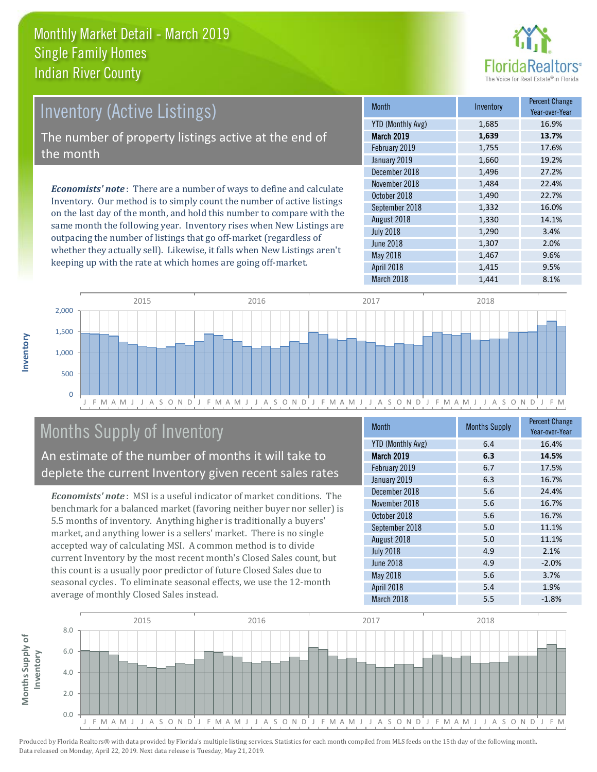

# Inventory (Active Listings) The number of property listings active at the end of the month

*Economists' note* : There are a number of ways to define and calculate Inventory. Our method is to simply count the number of active listings on the last day of the month, and hold this number to compare with the same month the following year. Inventory rises when New Listings are outpacing the number of listings that go off-market (regardless of whether they actually sell). Likewise, it falls when New Listings aren't keeping up with the rate at which homes are going off-market.

| <b>Month</b>             | Inventory | <b>Percent Change</b><br>Year-over-Year |
|--------------------------|-----------|-----------------------------------------|
| <b>YTD (Monthly Avg)</b> | 1,685     | 16.9%                                   |
| March 2019               | 1,639     | 13.7%                                   |
| February 2019            | 1,755     | 17.6%                                   |
| January 2019             | 1,660     | 19.2%                                   |
| December 2018            | 1,496     | 27.2%                                   |
| November 2018            | 1,484     | 22.4%                                   |
| October 2018             | 1,490     | 22.7%                                   |
| September 2018           | 1,332     | 16.0%                                   |
| August 2018              | 1,330     | 14.1%                                   |
| <b>July 2018</b>         | 1,290     | 3.4%                                    |
| <b>June 2018</b>         | 1,307     | 2.0%                                    |
| May 2018                 | 1,467     | 9.6%                                    |
| April 2018               | 1,415     | 9.5%                                    |
| March 2018               | 1,441     | 8.1%                                    |



# Months Supply of Inventory

An estimate of the number of months it will take to deplete the current Inventory given recent sales rates

*Economists' note* : MSI is a useful indicator of market conditions. The benchmark for a balanced market (favoring neither buyer nor seller) is 5.5 months of inventory. Anything higher is traditionally a buyers' market, and anything lower is a sellers' market. There is no single accepted way of calculating MSI. A common method is to divide current Inventory by the most recent month's Closed Sales count, but this count is a usually poor predictor of future Closed Sales due to seasonal cycles. To eliminate seasonal effects, we use the 12-month average of monthly Closed Sales instead.

| <b>Month</b>             | <b>Months Supply</b> | <b>Percent Change</b><br>Year-over-Year |
|--------------------------|----------------------|-----------------------------------------|
| <b>YTD (Monthly Avg)</b> | 6.4                  | 16.4%                                   |
| March 2019               | 6.3                  | 14.5%                                   |
| February 2019            | 6.7                  | 17.5%                                   |
| January 2019             | 6.3                  | 16.7%                                   |
| December 2018            | 5.6                  | 24.4%                                   |
| November 2018            | 5.6                  | 16.7%                                   |
| October 2018             | 5.6                  | 16.7%                                   |
| September 2018           | 5.0                  | 11.1%                                   |
| August 2018              | 5.0                  | 11.1%                                   |
| <b>July 2018</b>         | 4.9                  | 2.1%                                    |
| <b>June 2018</b>         | 4.9                  | $-2.0%$                                 |
| May 2018                 | 5.6                  | 3.7%                                    |
| April 2018               | 5.4                  | 1.9%                                    |
| March 2018               | 5.5                  | $-1.8%$                                 |

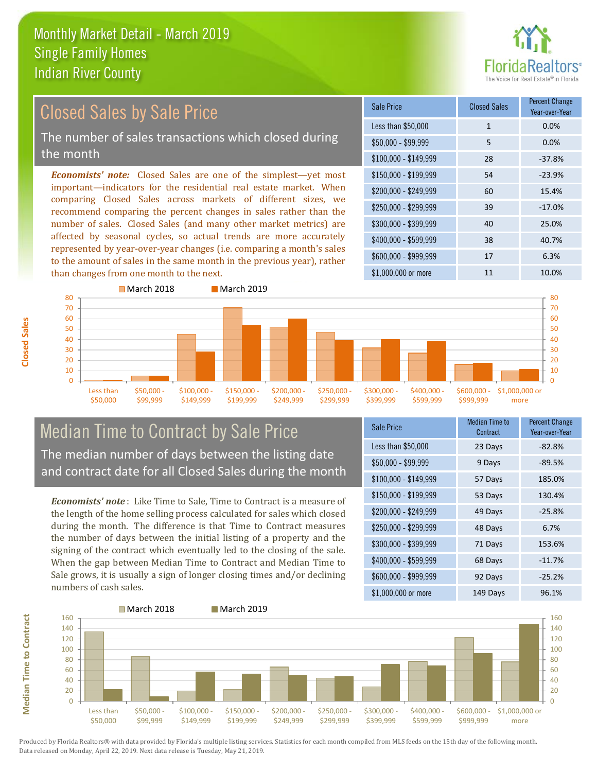than changes from one month to the next.



#### $$100,000 - $149,999$  28 -37.8% Sale Price Closed Sales Percent Change Year-over-Year Less than \$50,000 1 1 0.0% \$50,000 - \$99,999 5 0.0% \$150,000 - \$199,999 54 -23.9% \$200,000 - \$249,999 60 15.4% \$400,000 - \$599,999 38 40.7% \$600,000 - \$999,999 17 6.3% *Economists' note:* Closed Sales are one of the simplest—yet most important—indicators for the residential real estate market. When comparing Closed Sales across markets of different sizes, we recommend comparing the percent changes in sales rather than the number of sales. Closed Sales (and many other market metrics) are affected by seasonal cycles, so actual trends are more accurately represented by year-over-year changes (i.e. comparing a month's sales to the amount of sales in the same month in the previous year), rather \$250,000 - \$299,999 39 -17.0% \$300,000 - \$399,999 40 25.0% Closed Sales by Sale Price The number of sales transactions which closed during the month



#### Median Time to Contract by Sale Price The median number of days between the listing date and contract date for all Closed Sales during the month

*Economists' note* : Like Time to Sale, Time to Contract is a measure of the length of the home selling process calculated for sales which closed during the month. The difference is that Time to Contract measures the number of days between the initial listing of a property and the signing of the contract which eventually led to the closing of the sale. When the gap between Median Time to Contract and Median Time to Sale grows, it is usually a sign of longer closing times and/or declining numbers of cash sales.

| <b>Sale Price</b>     | <b>Median Time to</b><br>Contract | <b>Percent Change</b><br>Year-over-Year |
|-----------------------|-----------------------------------|-----------------------------------------|
| Less than \$50,000    | 23 Days                           | $-82.8%$                                |
| $$50,000 - $99,999$   | 9 Days                            | $-89.5%$                                |
| $$100,000 - $149,999$ | 57 Days                           | 185.0%                                  |
| $$150,000 - $199,999$ | 53 Days                           | 130.4%                                  |
| \$200,000 - \$249,999 | 49 Days                           | $-25.8%$                                |
| \$250,000 - \$299,999 | 48 Days                           | 6.7%                                    |
| \$300,000 - \$399,999 | 71 Days                           | 153.6%                                  |
| \$400,000 - \$599,999 | 68 Days                           | $-11.7%$                                |
| \$600,000 - \$999,999 | 92 Days                           | $-25.2%$                                |
| \$1,000,000 or more   | 149 Days                          | 96.1%                                   |

\$1,000,000 or more 11 10.0%

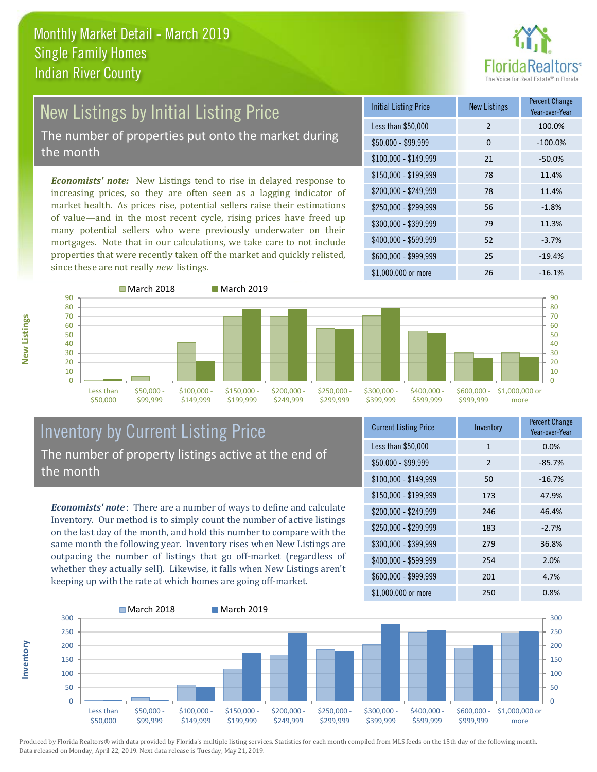

# New Listings by Initial Listing Price The number of properties put onto the market during

the month

*Economists' note:* New Listings tend to rise in delayed response to increasing prices, so they are often seen as a lagging indicator of market health. As prices rise, potential sellers raise their estimations of value—and in the most recent cycle, rising prices have freed up many potential sellers who were previously underwater on their mortgages. Note that in our calculations, we take care to not include properties that were recently taken off the market and quickly relisted, since these are not really *new* listings.

| <b>Initial Listing Price</b> | <b>New Listings</b> | <b>Percent Change</b><br>Year-over-Year |
|------------------------------|---------------------|-----------------------------------------|
| Less than \$50,000           | $\overline{2}$      | 100.0%                                  |
| $$50,000 - $99,999$          | $\Omega$            | $-100.0%$                               |
| $$100,000 - $149,999$        | 21                  | $-50.0%$                                |
| $$150,000 - $199,999$        | 78                  | 11.4%                                   |
| \$200,000 - \$249,999        | 78                  | 11.4%                                   |
| \$250,000 - \$299,999        | 56                  | $-1.8%$                                 |
| \$300,000 - \$399,999        | 79                  | 11.3%                                   |
| \$400,000 - \$599,999        | 52                  | $-3.7%$                                 |
| \$600,000 - \$999,999        | 25                  | $-19.4%$                                |
| $$1,000,000$ or more         | 26                  | $-16.1%$                                |



#### Inventory by Current Listing Price The number of property listings active at the end of the month

*Economists' note* : There are a number of ways to define and calculate Inventory. Our method is to simply count the number of active listings on the last day of the month, and hold this number to compare with the same month the following year. Inventory rises when New Listings are outpacing the number of listings that go off-market (regardless of whether they actually sell). Likewise, it falls when New Listings aren't keeping up with the rate at which homes are going off-market.

| <b>Current Listing Price</b> | Inventory      | <b>Percent Change</b><br>Year-over-Year |
|------------------------------|----------------|-----------------------------------------|
| Less than \$50,000           | $\mathbf{1}$   | 0.0%                                    |
| $$50,000 - $99,999$          | $\overline{2}$ | $-85.7%$                                |
| $$100,000 - $149,999$        | 50             | $-16.7%$                                |
| $$150,000 - $199,999$        | 173            | 47.9%                                   |
| \$200,000 - \$249,999        | 246            | 46.4%                                   |
| \$250,000 - \$299,999        | 183            | $-2.7%$                                 |
| \$300,000 - \$399,999        | 279            | 36.8%                                   |
| \$400,000 - \$599,999        | 254            | 2.0%                                    |
| \$600,000 - \$999,999        | 201            | 4.7%                                    |
| \$1,000,000 or more          | 250            | 0.8%                                    |



Produced by Florida Realtors® with data provided by Florida's multiple listing services. Statistics for each month compiled from MLS feeds on the 15th day of the following month. Data released on Monday, April 22, 2019. Next data release is Tuesday, May 21, 2019.

**Inventory**